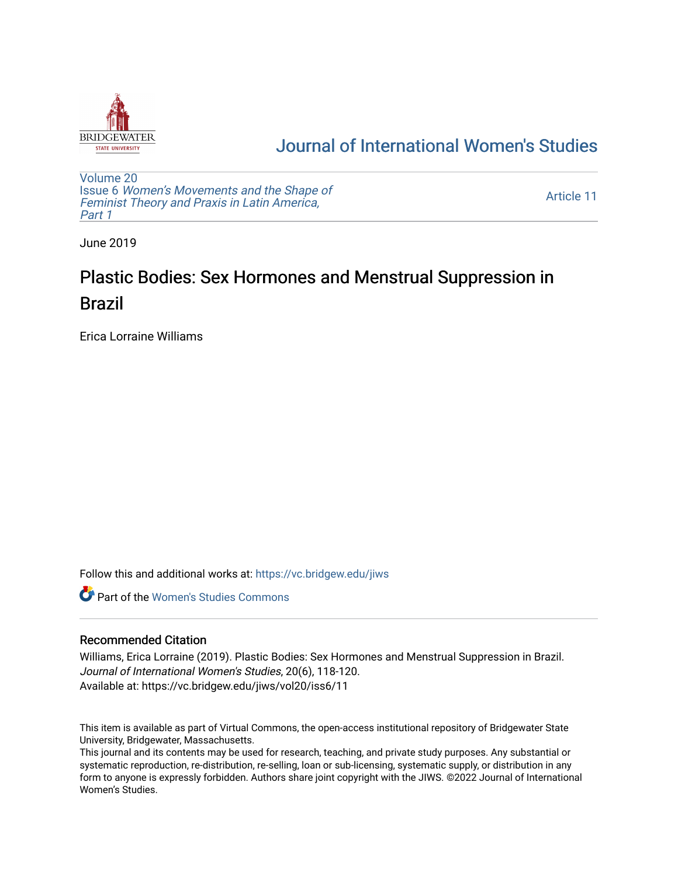

## [Journal of International Women's Studies](https://vc.bridgew.edu/jiws)

[Volume 20](https://vc.bridgew.edu/jiws/vol20) Issue 6 [Women's Movements and the Shape of](https://vc.bridgew.edu/jiws/vol20/iss6)  [Feminist Theory and Praxis in Latin America,](https://vc.bridgew.edu/jiws/vol20/iss6)  [Part 1](https://vc.bridgew.edu/jiws/vol20/iss6)

[Article 11](https://vc.bridgew.edu/jiws/vol20/iss6/11) 

June 2019

# Plastic Bodies: Sex Hormones and Menstrual Suppression in Brazil

Erica Lorraine Williams

Follow this and additional works at: [https://vc.bridgew.edu/jiws](https://vc.bridgew.edu/jiws?utm_source=vc.bridgew.edu%2Fjiws%2Fvol20%2Fiss6%2F11&utm_medium=PDF&utm_campaign=PDFCoverPages)

**C** Part of the Women's Studies Commons

## Recommended Citation

Williams, Erica Lorraine (2019). Plastic Bodies: Sex Hormones and Menstrual Suppression in Brazil. Journal of International Women's Studies, 20(6), 118-120. Available at: https://vc.bridgew.edu/jiws/vol20/iss6/11

This item is available as part of Virtual Commons, the open-access institutional repository of Bridgewater State University, Bridgewater, Massachusetts.

This journal and its contents may be used for research, teaching, and private study purposes. Any substantial or systematic reproduction, re-distribution, re-selling, loan or sub-licensing, systematic supply, or distribution in any form to anyone is expressly forbidden. Authors share joint copyright with the JIWS. ©2022 Journal of International Women's Studies.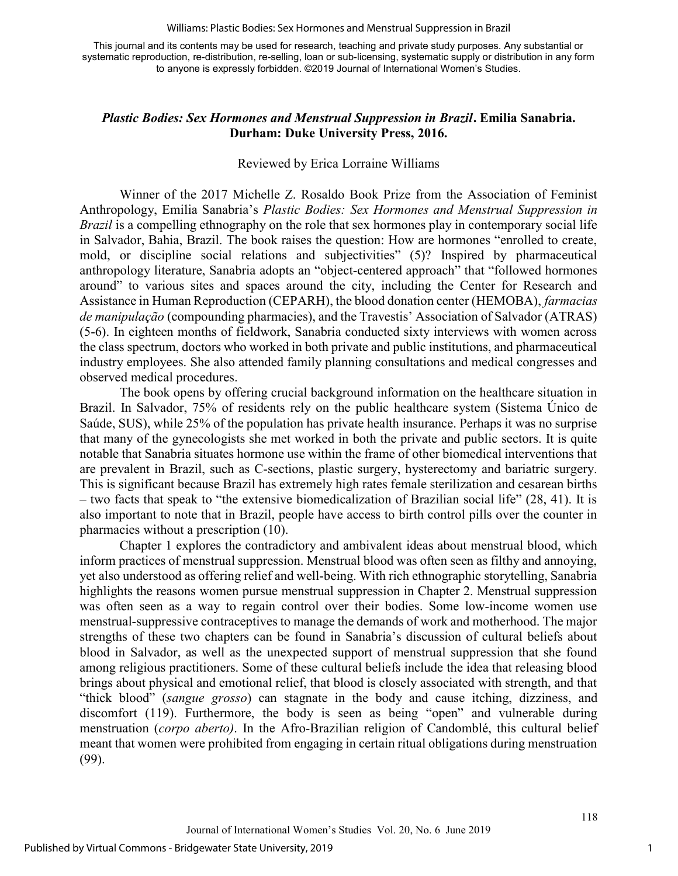#### Williams: Plastic Bodies: Sex Hormones and Menstrual Suppression in Brazil

This journal and its contents may be used for research, teaching and private study purposes. Any substantial or systematic reproduction, re-distribution, re-selling, loan or sub-licensing, systematic supply or distribution in any form to anyone is expressly forbidden. ©2019 Journal of International Women's Studies.

## Plastic Bodies: Sex Hormones and Menstrual Suppression in Brazil. Emilia Sanabria. Durham: Duke University Press, 2016.

### Reviewed by Erica Lorraine Williams

Winner of the 2017 Michelle Z. Rosaldo Book Prize from the Association of Feminist Anthropology, Emilia Sanabria's Plastic Bodies: Sex Hormones and Menstrual Suppression in Brazil is a compelling ethnography on the role that sex hormones play in contemporary social life in Salvador, Bahia, Brazil. The book raises the question: How are hormones "enrolled to create, mold, or discipline social relations and subjectivities" (5)? Inspired by pharmaceutical anthropology literature, Sanabria adopts an "object-centered approach" that "followed hormones around" to various sites and spaces around the city, including the Center for Research and Assistance in Human Reproduction (CEPARH), the blood donation center (HEMOBA), farmacias de manipulação (compounding pharmacies), and the Travestis' Association of Salvador (ATRAS) (5-6). In eighteen months of fieldwork, Sanabria conducted sixty interviews with women across the class spectrum, doctors who worked in both private and public institutions, and pharmaceutical industry employees. She also attended family planning consultations and medical congresses and observed medical procedures.

The book opens by offering crucial background information on the healthcare situation in Brazil. In Salvador, 75% of residents rely on the public healthcare system (Sistema Único de Saúde, SUS), while 25% of the population has private health insurance. Perhaps it was no surprise that many of the gynecologists she met worked in both the private and public sectors. It is quite notable that Sanabria situates hormone use within the frame of other biomedical interventions that are prevalent in Brazil, such as C-sections, plastic surgery, hysterectomy and bariatric surgery. This is significant because Brazil has extremely high rates female sterilization and cesarean births – two facts that speak to "the extensive biomedicalization of Brazilian social life" (28, 41). It is also important to note that in Brazil, people have access to birth control pills over the counter in pharmacies without a prescription (10).

Chapter 1 explores the contradictory and ambivalent ideas about menstrual blood, which inform practices of menstrual suppression. Menstrual blood was often seen as filthy and annoying, yet also understood as offering relief and well-being. With rich ethnographic storytelling, Sanabria highlights the reasons women pursue menstrual suppression in Chapter 2. Menstrual suppression was often seen as a way to regain control over their bodies. Some low-income women use menstrual-suppressive contraceptives to manage the demands of work and motherhood. The major strengths of these two chapters can be found in Sanabria's discussion of cultural beliefs about blood in Salvador, as well as the unexpected support of menstrual suppression that she found among religious practitioners. Some of these cultural beliefs include the idea that releasing blood brings about physical and emotional relief, that blood is closely associated with strength, and that "thick blood" (sangue grosso) can stagnate in the body and cause itching, dizziness, and discomfort (119). Furthermore, the body is seen as being "open" and vulnerable during menstruation (corpo aberto). In the Afro-Brazilian religion of Candomblé, this cultural belief meant that women were prohibited from engaging in certain ritual obligations during menstruation (99).

1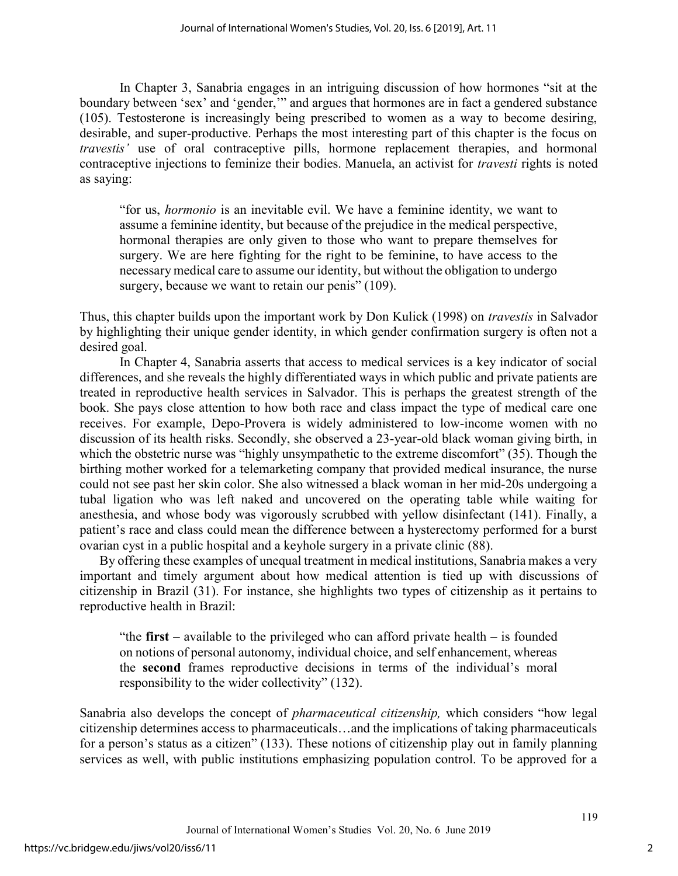In Chapter 3, Sanabria engages in an intriguing discussion of how hormones "sit at the boundary between 'sex' and 'gender,'" and argues that hormones are in fact a gendered substance (105). Testosterone is increasingly being prescribed to women as a way to become desiring, desirable, and super-productive. Perhaps the most interesting part of this chapter is the focus on travestis' use of oral contraceptive pills, hormone replacement therapies, and hormonal contraceptive injections to feminize their bodies. Manuela, an activist for *travesti* rights is noted as saying:

"for us, hormonio is an inevitable evil. We have a feminine identity, we want to assume a feminine identity, but because of the prejudice in the medical perspective, hormonal therapies are only given to those who want to prepare themselves for surgery. We are here fighting for the right to be feminine, to have access to the necessary medical care to assume our identity, but without the obligation to undergo surgery, because we want to retain our penis" (109).

Thus, this chapter builds upon the important work by Don Kulick (1998) on travestis in Salvador by highlighting their unique gender identity, in which gender confirmation surgery is often not a desired goal.

In Chapter 4, Sanabria asserts that access to medical services is a key indicator of social differences, and she reveals the highly differentiated ways in which public and private patients are treated in reproductive health services in Salvador. This is perhaps the greatest strength of the book. She pays close attention to how both race and class impact the type of medical care one receives. For example, Depo-Provera is widely administered to low-income women with no discussion of its health risks. Secondly, she observed a 23-year-old black woman giving birth, in which the obstetric nurse was "highly unsympathetic to the extreme discomfort" (35). Though the birthing mother worked for a telemarketing company that provided medical insurance, the nurse could not see past her skin color. She also witnessed a black woman in her mid-20s undergoing a tubal ligation who was left naked and uncovered on the operating table while waiting for anesthesia, and whose body was vigorously scrubbed with yellow disinfectant (141). Finally, a patient's race and class could mean the difference between a hysterectomy performed for a burst ovarian cyst in a public hospital and a keyhole surgery in a private clinic (88).

By offering these examples of unequal treatment in medical institutions, Sanabria makes a very important and timely argument about how medical attention is tied up with discussions of citizenship in Brazil (31). For instance, she highlights two types of citizenship as it pertains to reproductive health in Brazil:

"the first – available to the privileged who can afford private health – is founded on notions of personal autonomy, individual choice, and self enhancement, whereas the second frames reproductive decisions in terms of the individual's moral responsibility to the wider collectivity" (132).

Sanabria also develops the concept of pharmaceutical citizenship, which considers "how legal citizenship determines access to pharmaceuticals…and the implications of taking pharmaceuticals for a person's status as a citizen" (133). These notions of citizenship play out in family planning services as well, with public institutions emphasizing population control. To be approved for a

2

119